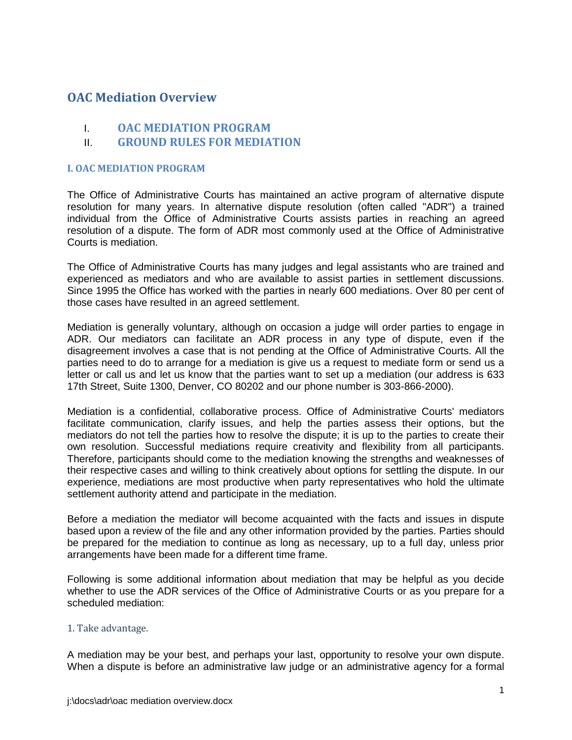# **OAC Mediation Overview**

- I. **OAC MEDIATION PROGRAM**
- II. **GROUND RULES FOR MEDIATION**

#### **I. OAC MEDIATION PROGRAM**

The Office of Administrative Courts has maintained an active program of alternative dispute resolution for many years. In alternative dispute resolution (often called "ADR") a trained individual from the Office of Administrative Courts assists parties in reaching an agreed resolution of a dispute. The form of ADR most commonly used at the Office of Administrative Courts is mediation.

The Office of Administrative Courts has many judges and legal assistants who are trained and experienced as mediators and who are available to assist parties in settlement discussions. Since 1995 the Office has worked with the parties in nearly 600 mediations. Over 80 per cent of those cases have resulted in an agreed settlement.

Mediation is generally voluntary, although on occasion a judge will order parties to engage in ADR. Our mediators can facilitate an ADR process in any type of dispute, even if the disagreement involves a case that is not pending at the Office of Administrative Courts. All the parties need to do to arrange for a mediation is give us a request to mediate form or send us a letter or call us and let us know that the parties want to set up a mediation (our address is 633 17th Street, Suite 1300, Denver, CO 80202 and our phone number is 303-866-2000).

Mediation is a confidential, collaborative process. Office of Administrative Courts' mediators facilitate communication, clarify issues, and help the parties assess their options, but the mediators do not tell the parties how to resolve the dispute; it is up to the parties to create their own resolution. Successful mediations require creativity and flexibility from all participants. Therefore, participants should come to the mediation knowing the strengths and weaknesses of their respective cases and willing to think creatively about options for settling the dispute. In our experience, mediations are most productive when party representatives who hold the ultimate settlement authority attend and participate in the mediation.

Before a mediation the mediator will become acquainted with the facts and issues in dispute based upon a review of the file and any other information provided by the parties. Parties should be prepared for the mediation to continue as long as necessary, up to a full day, unless prior arrangements have been made for a different time frame.

Following is some additional information about mediation that may be helpful as you decide whether to use the ADR services of the Office of Administrative Courts or as you prepare for a scheduled mediation:

#### 1. Take advantage.

A mediation may be your best, and perhaps your last, opportunity to resolve your own dispute. When a dispute is before an administrative law judge or an administrative agency for a formal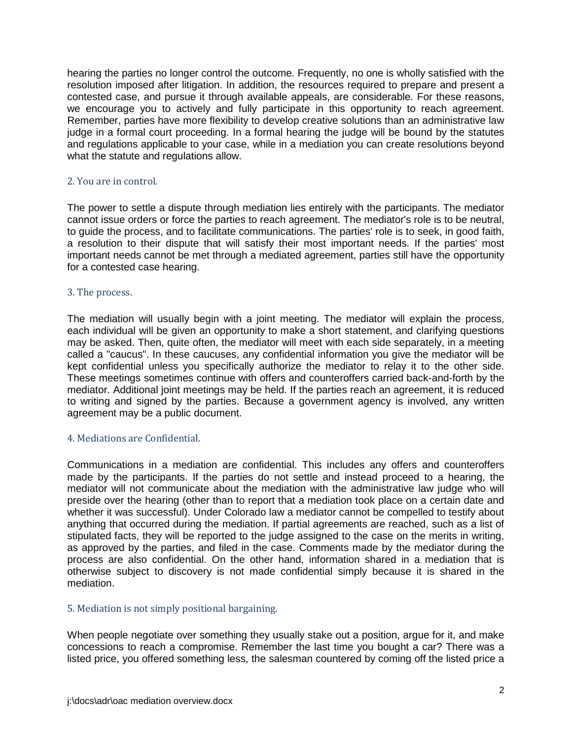hearing the parties no longer control the outcome. Frequently, no one is wholly satisfied with the resolution imposed after litigation. In addition, the resources required to prepare and present a contested case, and pursue it through available appeals, are considerable. For these reasons, we encourage you to actively and fully participate in this opportunity to reach agreement. Remember, parties have more flexibility to develop creative solutions than an administrative law judge in a formal court proceeding. In a formal hearing the judge will be bound by the statutes and regulations applicable to your case, while in a mediation you can create resolutions beyond what the statute and regulations allow.

### 2. You are in control.

The power to settle a dispute through mediation lies entirely with the participants. The mediator cannot issue orders or force the parties to reach agreement. The mediator's role is to be neutral, to guide the process, and to facilitate communications. The parties' role is to seek, in good faith, a resolution to their dispute that will satisfy their most important needs. If the parties' most important needs cannot be met through a mediated agreement, parties still have the opportunity for a contested case hearing.

### 3. The process.

The mediation will usually begin with a joint meeting. The mediator will explain the process, each individual will be given an opportunity to make a short statement, and clarifying questions may be asked. Then, quite often, the mediator will meet with each side separately, in a meeting called a "caucus". In these caucuses, any confidential information you give the mediator will be kept confidential unless you specifically authorize the mediator to relay it to the other side. These meetings sometimes continue with offers and counteroffers carried back-and-forth by the mediator. Additional joint meetings may be held. If the parties reach an agreement, it is reduced to writing and signed by the parties. Because a government agency is involved, any written agreement may be a public document.

#### 4. Mediations are Confidential.

Communications in a mediation are confidential. This includes any offers and counteroffers made by the participants. If the parties do not settle and instead proceed to a hearing, the mediator will not communicate about the mediation with the administrative law judge who will preside over the hearing (other than to report that a mediation took place on a certain date and whether it was successful). Under Colorado law a mediator cannot be compelled to testify about anything that occurred during the mediation. If partial agreements are reached, such as a list of stipulated facts, they will be reported to the judge assigned to the case on the merits in writing, as approved by the parties, and filed in the case. Comments made by the mediator during the process are also confidential. On the other hand, information shared in a mediation that is otherwise subject to discovery is not made confidential simply because it is shared in the mediation.

#### 5. Mediation is not simply positional bargaining.

When people negotiate over something they usually stake out a position, argue for it, and make concessions to reach a compromise. Remember the last time you bought a car? There was a listed price, you offered something less, the salesman countered by coming off the listed price a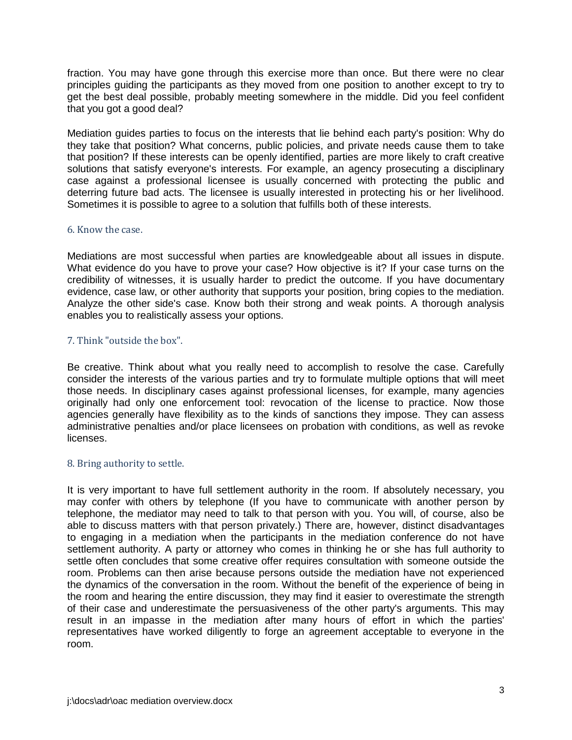fraction. You may have gone through this exercise more than once. But there were no clear principles guiding the participants as they moved from one position to another except to try to get the best deal possible, probably meeting somewhere in the middle. Did you feel confident that you got a good deal?

Mediation guides parties to focus on the interests that lie behind each party's position: Why do they take that position? What concerns, public policies, and private needs cause them to take that position? If these interests can be openly identified, parties are more likely to craft creative solutions that satisfy everyone's interests. For example, an agency prosecuting a disciplinary case against a professional licensee is usually concerned with protecting the public and deterring future bad acts. The licensee is usually interested in protecting his or her livelihood. Sometimes it is possible to agree to a solution that fulfills both of these interests.

#### 6. Know the case.

Mediations are most successful when parties are knowledgeable about all issues in dispute. What evidence do you have to prove your case? How objective is it? If your case turns on the credibility of witnesses, it is usually harder to predict the outcome. If you have documentary evidence, case law, or other authority that supports your position, bring copies to the mediation. Analyze the other side's case. Know both their strong and weak points. A thorough analysis enables you to realistically assess your options.

## 7. Think "outside the box".

Be creative. Think about what you really need to accomplish to resolve the case. Carefully consider the interests of the various parties and try to formulate multiple options that will meet those needs. In disciplinary cases against professional licenses, for example, many agencies originally had only one enforcement tool: revocation of the license to practice. Now those agencies generally have flexibility as to the kinds of sanctions they impose. They can assess administrative penalties and/or place licensees on probation with conditions, as well as revoke licenses.

#### 8. Bring authority to settle.

It is very important to have full settlement authority in the room. If absolutely necessary, you may confer with others by telephone (If you have to communicate with another person by telephone, the mediator may need to talk to that person with you. You will, of course, also be able to discuss matters with that person privately.) There are, however, distinct disadvantages to engaging in a mediation when the participants in the mediation conference do not have settlement authority. A party or attorney who comes in thinking he or she has full authority to settle often concludes that some creative offer requires consultation with someone outside the room. Problems can then arise because persons outside the mediation have not experienced the dynamics of the conversation in the room. Without the benefit of the experience of being in the room and hearing the entire discussion, they may find it easier to overestimate the strength of their case and underestimate the persuasiveness of the other party's arguments. This may result in an impasse in the mediation after many hours of effort in which the parties' representatives have worked diligently to forge an agreement acceptable to everyone in the room.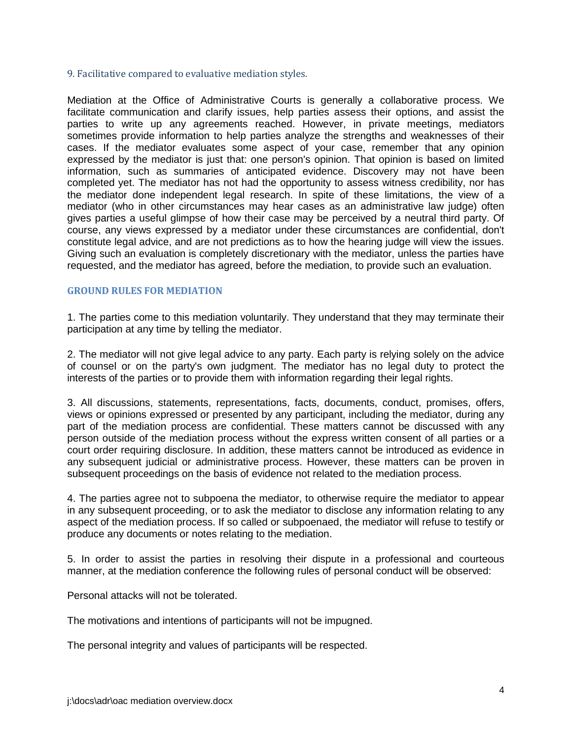#### 9. Facilitative compared to evaluative mediation styles.

Mediation at the Office of Administrative Courts is generally a collaborative process. We facilitate communication and clarify issues, help parties assess their options, and assist the parties to write up any agreements reached. However, in private meetings, mediators sometimes provide information to help parties analyze the strengths and weaknesses of their cases. If the mediator evaluates some aspect of your case, remember that any opinion expressed by the mediator is just that: one person's opinion. That opinion is based on limited information, such as summaries of anticipated evidence. Discovery may not have been completed yet. The mediator has not had the opportunity to assess witness credibility, nor has the mediator done independent legal research. In spite of these limitations, the view of a mediator (who in other circumstances may hear cases as an administrative law judge) often gives parties a useful glimpse of how their case may be perceived by a neutral third party. Of course, any views expressed by a mediator under these circumstances are confidential, don't constitute legal advice, and are not predictions as to how the hearing judge will view the issues. Giving such an evaluation is completely discretionary with the mediator, unless the parties have requested, and the mediator has agreed, before the mediation, to provide such an evaluation.

#### **GROUND RULES FOR MEDIATION**

1. The parties come to this mediation voluntarily. They understand that they may terminate their participation at any time by telling the mediator.

2. The mediator will not give legal advice to any party. Each party is relying solely on the advice of counsel or on the party's own judgment. The mediator has no legal duty to protect the interests of the parties or to provide them with information regarding their legal rights.

3. All discussions, statements, representations, facts, documents, conduct, promises, offers, views or opinions expressed or presented by any participant, including the mediator, during any part of the mediation process are confidential. These matters cannot be discussed with any person outside of the mediation process without the express written consent of all parties or a court order requiring disclosure. In addition, these matters cannot be introduced as evidence in any subsequent judicial or administrative process. However, these matters can be proven in subsequent proceedings on the basis of evidence not related to the mediation process.

4. The parties agree not to subpoena the mediator, to otherwise require the mediator to appear in any subsequent proceeding, or to ask the mediator to disclose any information relating to any aspect of the mediation process. If so called or subpoenaed, the mediator will refuse to testify or produce any documents or notes relating to the mediation.

5. In order to assist the parties in resolving their dispute in a professional and courteous manner, at the mediation conference the following rules of personal conduct will be observed:

Personal attacks will not be tolerated.

The motivations and intentions of participants will not be impugned.

The personal integrity and values of participants will be respected.